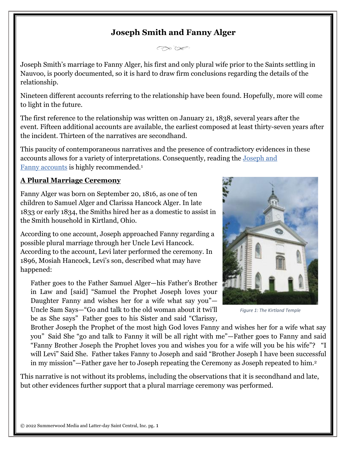# **Joseph Smith and Fanny Alger**

 $\curvearrowright \curvearrowright$ 

Joseph Smith's marriage to Fanny Alger, his first and only plural wife prior to the Saints settling in Nauvoo, is poorly documented, so it is hard to draw firm conclusions regarding the details of the relationship.

Nineteen different accounts referring to the relationship have been found. Hopefully, more will come to light in the future.

The first reference to the relationship was written on January 21, 1838, several years after the event. Fifteen additional accounts are available, the earliest composed at least thirty-seven years after the incident. Thirteen of the narratives are secondhand.

This paucity of contemporaneous narratives and the presence of contradictory evidences in these accounts allows for a variety of interpretations. Consequently, reading the [Joseph](https://josephsmithspolygamy.org/wp-content/uploads/2017/03/Fanny-Alger-Appendix-D.pdf) and Fanny [accounts](https://josephsmithspolygamy.org/wp-content/uploads/2017/03/Fanny-Alger-Appendix-D.pdf) is highly recommended[.](http://josephsmithspolygamy.org/common-questions/fanny-alger/#link_ajs-fn-id_1-82)<sup>1</sup>

#### **A Plural Marriage Ceremony**

Fanny Alger was born on September 20, 1816, as one of ten children to Samuel Alger and Clarissa Hancock Alger. In late 1833 or early 1834, the Smiths hired her as a domestic to assist in the Smith household in Kirtland, Ohio.

According to one account, Joseph approached Fanny regarding a possible plural marriage through her Uncle Levi Hancock. According to the account, Levi later performed the ceremony. In 1896, Mosiah Hancock, Levi's son, described what may have happened:

Father goes to the Father Samuel Alger—his Father's Brother in Law and [said] "Samuel the Prophet Joseph loves your Daughter Fanny and wishes her for a wife what say you"— Uncle Sam Says—"Go and talk to the old woman about it twi'll be as She says" Father goes to his Sister and said "Clarissy,



*Figure 1: The Kirtland Temple*

Brother Joseph the Prophet of the most high God loves Fanny and wishes her for a wife what say you" Said She "go and talk to Fanny it will be all right with me"—Father goes to Fanny and said "Fanny Brother Joseph the Prophet loves you and wishes you for a wife will you be his wife"? "I will Levi" Said She. Father takes Fanny to Joseph and said "Brother Joseph I have been successful in my mission"—Father gave her to Joseph repeating the Ceremony as Joseph repeated to him.[2](http://josephsmithspolygamy.org/common-questions/fanny-alger/#link_ajs-fn-id_2-82)

This narrative is not without its problems, including the observations that it is secondhand and late, but other evidences further support that a plural marriage ceremony was performed.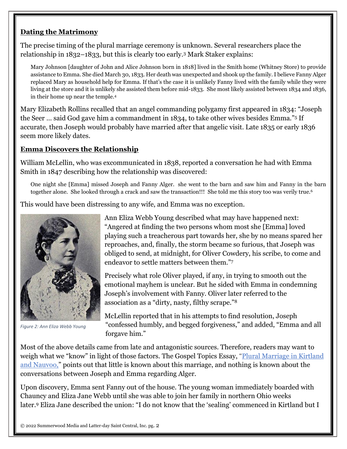#### **Dating the Matrimony**

The precise timing of the plural marriage ceremony is unknown. Several researchers place the relationship in 1832–1833, but this is clearly too early.[3](http://josephsmithspolygamy.org/common-questions/fanny-alger/#link_ajs-fn-id_3-82) Mark Staker explains:

Mary Johnson [daughter of John and Alice Johnson born in 1818] lived in the Smith home (Whitney Store) to provide assistance to Emma. She died March 30, 1833. Her death was unexpected and shook up the family. I believe Fanny Alger replaced Mary as household help for Emma. If that's the case it is unlikely Fanny lived with the family while they were living at the store and it is unlikely she assisted them before mid-1833. She most likely assisted between 1834 and 1836, in their home up near the temple.[4](http://josephsmithspolygamy.org/common-questions/fanny-alger/#link_ajs-fn-id_4-82)

Mary Elizabeth Rollins recalled that an angel commanding polygamy first appeared in 1834: "Joseph the Seer … said God gave him a commandment in 1834, to take other wives besides Emma."[5](http://josephsmithspolygamy.org/common-questions/fanny-alger/#link_ajs-fn-id_5-82) If accurate, then Joseph would probably have married after that angelic visit. Late 1835 or early 1836 seem more likely dates.

#### **Emma Discovers the Relationship**

William McLellin, who was excommunicated in 1838, reported a conversation he had with Emma Smith in 1847 describing how the relationship was discovered:

One night she [Emma] missed Joseph and Fanny Alger. she went to the barn and saw him and Fanny in the barn together alone. She looked through a crack and saw the transaction!!! She told me this story too was verily true.<sup>[6](http://josephsmithspolygamy.org/common-questions/fanny-alger/#link_ajs-fn-id_6-82)</sup>

This would have been distressing to any wife, and Emma was no exception.



*Figure 2: Ann Eliza Webb Young*

Ann Eliza Webb Young described what may have happened next: "Angered at finding the two persons whom most she [Emma] loved playing such a treacherous part towards her, she by no means spared her reproaches, and, finally, the storm became so furious, that Joseph was obliged to send, at midnight, for Oliver Cowdery, his scribe, to come and endeavor to settle matters between them."[7](http://josephsmithspolygamy.org/common-questions/fanny-alger/#link_ajs-fn-id_7-82)

Precisely what role Oliver played, if any, in trying to smooth out the emotional mayhem is unclear. But he sided with Emma in condemning Joseph's involvement with Fanny. Oliver later referred to the association as a "dirty, nasty, filthy scrape."[8](http://josephsmithspolygamy.org/common-questions/fanny-alger/#link_ajs-fn-id_8-82)

McLellin reported that in his attempts to find resolution, Joseph "confessed humbly, and begged forgiveness," and added, "Emma and all forgave him."

Most of the above details came from late and antagonistic sources. Therefore, readers may want to weigh what we "know" in light of those factors. The Gospel Topics Essay, "Plural [Marriage](https://www.lds.org/topics/plural-marriage-in-kirtland-and-nauvoo?lang=eng) in Kirtland and [Nauvoo,](https://www.lds.org/topics/plural-marriage-in-kirtland-and-nauvoo?lang=eng)" points out that little is known about this marriage, and nothing is known about the conversations between Joseph and Emma regarding Alger.

Upon discovery, Emma sent Fanny out of the house. The young woman immediately boarded with Chauncy and Eliza Jane Webb until she was able to join her family in northern Ohio weeks later.[9](http://josephsmithspolygamy.org/common-questions/fanny-alger/#link_ajs-fn-id_9-82) Eliza Jane described the union: "I do not know that the 'sealing' commenced in Kirtland but I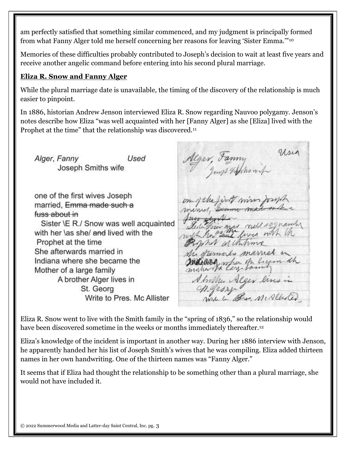am perfectly satisfied that something similar commenced, and my judgment is principally formed from what Fanny Alger told me herself concerning her reasons for leaving 'Sister Emma.'"[10](http://josephsmithspolygamy.org/common-questions/fanny-alger/#link_ajs-fn-id_10-82)

Memories of these difficulties probably contributed to Joseph's decision to wait at least five years and receive another angelic command before entering into his second plural marriage.

#### **Eliza R. Snow and Fanny Alger**

While the plural marriage date is unavailable, the timing of the discovery of the relationship is much easier to pinpoint.

In 1886, historian Andrew Jenson interviewed Eliza R. Snow regarding Nauvoo polygamy. Jenson's notes describe how Eliza "was well acquainted with her [Fanny Alger] as she [Eliza] lived with the Prophet at the time" that the relationship was discovered.<sup>[11](http://josephsmithspolygamy.org/common-questions/fanny-alger/#link_ajs-fn-id_11-82)</sup>

Use Alger, Fanny Used Alger, Fanny Joseph Smiths wife one of the first wives Joseph on of the first win for up married, Emma made such a minus, Em fuss about in singus nell requestly Sister \E R./ Snow was well acquainted mys have five with the with her \as she/ and lived with the Prophet at the time show althoune She afterwards married in Mi fremals married in makelling when the ligen the Indiana where she became the Mother of a large family Abrilla Alger lives in A brother Alger lives in St. Georg Write to Pres. Mc Allister

Eliza R. Snow went to live with the Smith family in the "spring of 1836," so the relationship would have been discovered sometime in the weeks or months immediately thereafter.<sup>[12](http://josephsmithspolygamy.org/common-questions/fanny-alger/#link_ajs-fn-id_12-82)</sup>

Eliza's knowledge of the incident is important in another way. During her 1886 interview with Jenson, he apparently handed her his list of Joseph Smith's wives that he was compiling. Eliza added thirteen names in her own handwriting. One of the thirteen names was "Fanny Alger."

It seems that if Eliza had thought the relationship to be something other than a plural marriage, she would not have included it.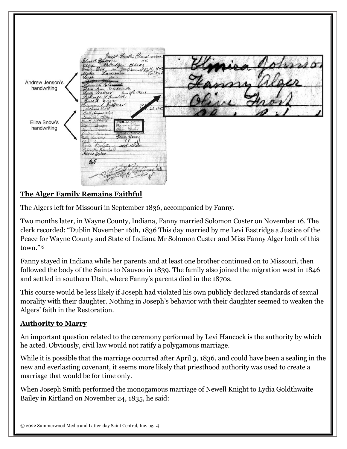aph Smithi Claral wire  $a$ <sub>K</sub> obelver Andrew Jenson's handwriting Withmouth<br>Cor line ge Ware<br>Kimbell<br>mm  $3(y_2)$ Eliza Snow's handwriting and other Winchester m. Kim Urin Coles Vi car lys

### **The Alger Family Remains Faithful**

The Algers left for Missouri in September 1836, accompanied by Fanny.

Two months later, in Wayne County, Indiana, Fanny married Solomon Custer on November 16. The clerk recorded: "Dublin November 16th, 1836 This day married by me Levi Eastridge a Justice of the Peace for Wayne County and State of Indiana Mr Solomon Custer and Miss Fanny Alger both of this town."[13](http://josephsmithspolygamy.org/common-questions/fanny-alger/#link_ajs-fn-id_13-82)

Fanny stayed in Indiana while her parents and at least one brother continued on to Missouri, then followed the body of the Saints to Nauvoo in 1839. The family also joined the migration west in 1846 and settled in southern Utah, where Fanny's parents died in the 1870s.

This course would be less likely if Joseph had violated his own publicly declared standards of sexual morality with their daughter. Nothing in Joseph's behavior with their daughter seemed to weaken the Algers' faith in the Restoration.

#### **Authority to Marry**

An important question related to the ceremony performed by Levi Hancock is the authority by which he acted. Obviously, civil law would not ratify a polygamous marriage.

While it is possible that the marriage occurred after April 3, 1836, and could have been a sealing in the new and everlasting covenant, it seems more likely that priesthood authority was used to create a marriage that would be for time only.

When Joseph Smith performed the monogamous marriage of Newell Knight to Lydia Goldthwaite Bailey in Kirtland on November 24, 1835, he said: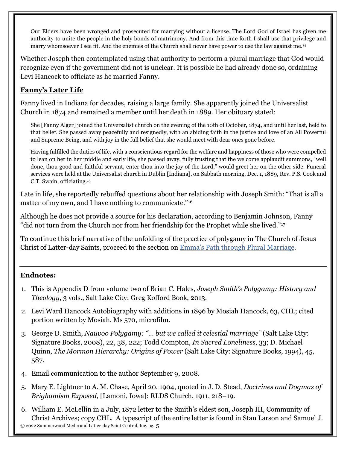Our Elders have been wronged and prosecuted for marrying without a license. The Lord God of Israel has given me authority to unite the people in the holy bonds of matrimony. And from this time forth I shall use that privilege and marry whomsoever I see fit. And the enemies of the Church shall never have power to use the law against me.[14](http://josephsmithspolygamy.org/common-questions/fanny-alger/#link_ajs-fn-id_14-82)

Whether Joseph then contemplated using that authority to perform a plural marriage that God would recognize even if the government did not is unclear. It is possible he had already done so, ordaining Levi Hancock to officiate as he married Fanny.

## **Fanny's Later Life**

Fanny lived in Indiana for decades, raising a large family. She apparently joined the Universalist Church in 1874 and remained a member until her death in 1889. Her obituary stated:

She [Fanny Alger] joined the Universalist church on the evening of the 10th of October, 1874, and until her last, held to that belief. She passed away peacefully and resignedly, with an abiding faith in the justice and love of an All Powerful and Supreme Being, and with joy in the full belief that she would meet with dear ones gone before.

Having fulfilled the duties of life, with a conscientious regard for the welfare and happiness of those who were compelled to lean on her in her middle and early life, she passed away, fully trusting that the welcome applaudit summons, "well done, thou good and faithful servant, enter thou into the joy of the Lord," would greet her on the other side. Funeral services were held at the Universalist church in Dublin [Indiana], on Sabbath morning, Dec. 1, 1889, Rev. P.S. Cook and C.T. Swain, officiating.[15](http://josephsmithspolygamy.org/common-questions/fanny-alger/#link_ajs-fn-id_15-82)

Late in life, she reportedly rebuffed questions about her relationship with Joseph Smith: "That is all a matter of my own, and I have nothing to communicate."<sup>[16](http://josephsmithspolygamy.org/common-questions/fanny-alger/#link_ajs-fn-id_16-82)</sup>

Although he does not provide a source for his declaration, according to Benjamin Johnson, Fanny "did not turn from the Church nor from her friendship for the Prophet while she lived."<sup>17</sup>

To continue this brief narrative of the unfolding of the practice of polygamy in The Church of Jesus Christ of Latter-day Saints, proceed to the section on Emma's Path through Plural [Marriage.](http://josephsmithspolygamy.org/common-questions/emma-smith-plural-marriage/)

#### **Endnotes:**

- 1. This is Appendix D from volume two of Brian C. Hales, *Joseph Smith's Polygamy: History and Theology*, 3 vols., Salt Lake City: Greg Kofford Book, 2013.
- 2. Levi Ward Hancock Autobiography with additions in 1896 by Mosiah Hancock, 63, CHL; cited portion written by Mosiah, Ms 570, microfilm.
- 3. George D. Smith, *Nauvoo Polygamy: "… but we called it celestial marriage"* (Salt Lake City: Signature Books, 2008), 22, 38, 222; Todd Compton, *In Sacred Loneliness*, 33; D. Michael Quinn, *The Mormon Hierarchy: Origins of Power* (Salt Lake City: Signature Books, 1994), 45, 587.
- 4. Email communication to the author September 9, 2008.
- 5. Mary E. Lightner to A. M. Chase, April 20, 1904, quoted in J. D. Stead, *Doctrines and Dogmas of Brighamism Exposed*, [Lamoni, Iowa]: RLDS Church, 1911, 218–19.
- © 2022 Summerwood Media and Latter-day Saint Central, Inc. pg. 5 6. William E. McLellin in a July, 1872 letter to the Smith's eldest son, Joseph III, Community of Christ Archives; copy CHL. A typescript of the entire letter is found in Stan Larson and Samuel J.